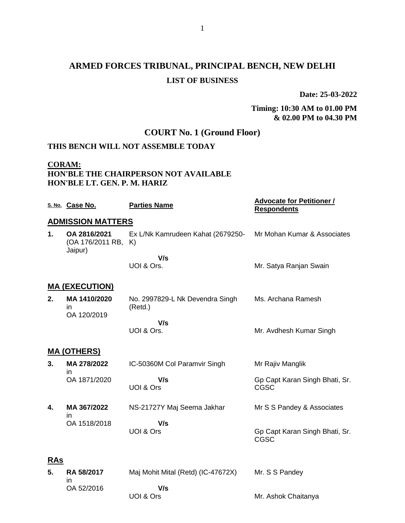# **ARMED FORCES TRIBUNAL, PRINCIPAL BENCH, NEW DELHI LIST OF BUSINESS**

**Date: 25-03-2022**

### **Timing: 10:30 AM to 01.00 PM & 02.00 PM to 04.30 PM**

Mr. Ashok Chaitanya

# **COURT No. 1 (Ground Floor)**

## **THIS BENCH WILL NOT ASSEMBLE TODAY**

### **CORAM: HON'BLE THE CHAIRPERSON NOT AVAILABLE HON'BLE LT. GEN. P. M. HARIZ**

UOI & Ors

|            | S. No. Case No.                             | <b>Parties Name</b>                        | <b>Advocate for Petitioner /</b><br><b>Respondents</b> |
|------------|---------------------------------------------|--------------------------------------------|--------------------------------------------------------|
|            | <b>ADMISSION MATTERS</b>                    |                                            |                                                        |
| 1.         | OA 2816/2021<br>(OA 176/2011 RB,<br>Jaipur) | Ex L/Nk Kamrudeen Kahat (2679250-<br>K)    | Mr Mohan Kumar & Associates                            |
|            |                                             | V/s                                        |                                                        |
|            |                                             | UOI & Ors.                                 | Mr. Satya Ranjan Swain                                 |
|            | <u>MA (EXECUTION)</u>                       |                                            |                                                        |
| 2.         | MA 1410/2020<br>in<br>OA 120/2019           | No. 2997829-L Nk Devendra Singh<br>(Retd.) | Ms. Archana Ramesh                                     |
|            |                                             | V/s                                        |                                                        |
|            |                                             | UOI & Ors.                                 | Mr. Avdhesh Kumar Singh                                |
|            | <u>MA (OTHERS)</u>                          |                                            |                                                        |
| 3.         | MA 278/2022<br>in                           | IC-50360M Col Paramvir Singh               | Mr Rajiv Manglik                                       |
|            | OA 1871/2020                                | V/s<br>UOI & Ors                           | Gp Capt Karan Singh Bhati, Sr.<br><b>CGSC</b>          |
| 4.         | MA 367/2022<br>in                           | NS-21727Y Maj Seema Jakhar                 | Mr S S Pandey & Associates                             |
|            | OA 1518/2018                                | V/s                                        |                                                        |
|            |                                             | UOI & Ors                                  | Gp Capt Karan Singh Bhati, Sr.<br>CGSC                 |
| <b>RAs</b> |                                             |                                            |                                                        |
| 5.         | <b>RA 58/2017</b><br>in                     | Maj Mohit Mital (Retd) (IC-47672X)         | Mr. S S Pandey                                         |
|            | OA 52/2016                                  | V/s                                        |                                                        |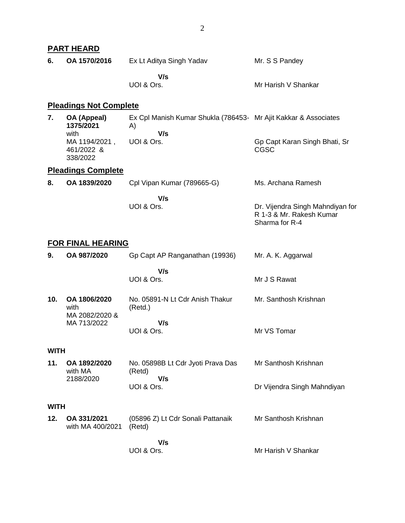|             | <b>PART HEARD</b>                                 |                                                                                            |                                                                                |
|-------------|---------------------------------------------------|--------------------------------------------------------------------------------------------|--------------------------------------------------------------------------------|
| 6.          | OA 1570/2016                                      | Ex Lt Aditya Singh Yadav                                                                   | Mr. S S Pandey                                                                 |
|             |                                                   | V/s<br>UOI & Ors.                                                                          | Mr Harish V Shankar                                                            |
|             | <b>Pleadings Not Complete</b>                     |                                                                                            |                                                                                |
| 7.          | OA (Appeal)<br>1375/2021<br>with<br>MA 1194/2021, | Ex Cpl Manish Kumar Shukla (786453- Mr Ajit Kakkar & Associates<br>A)<br>V/s<br>UOI & Ors. | Gp Capt Karan Singh Bhati, Sr                                                  |
|             | 461/2022 &<br>338/2022                            |                                                                                            | <b>CGSC</b>                                                                    |
|             | <b>Pleadings Complete</b>                         |                                                                                            |                                                                                |
| 8.          | OA 1839/2020                                      | Cpl Vipan Kumar (789665-G)                                                                 | Ms. Archana Ramesh                                                             |
|             |                                                   | V/s<br>UOI & Ors.                                                                          | Dr. Vijendra Singh Mahndiyan for<br>R 1-3 & Mr. Rakesh Kumar<br>Sharma for R-4 |
|             | <b>FOR FINAL HEARING</b>                          |                                                                                            |                                                                                |
| 9.          | OA 987/2020                                       | Gp Capt AP Ranganathan (19936)                                                             | Mr. A. K. Aggarwal                                                             |
|             |                                                   | V/s<br>UOI & Ors.                                                                          | Mr J S Rawat                                                                   |
| 10.         | OA 1806/2020<br>with<br>MA 2082/2020 &            | No. 05891-N Lt Cdr Anish Thakur<br>(Retd.)                                                 | Mr. Santhosh Krishnan                                                          |
|             | MA 713/2022                                       | V/s<br>UOI & Ors.                                                                          | Mr VS Tomar                                                                    |
| <b>WITH</b> |                                                   |                                                                                            |                                                                                |
| 11.         | OA 1892/2020<br>with MA<br>2188/2020              | No. 05898B Lt Cdr Jyoti Prava Das<br>(Retd)<br>V/s                                         | Mr Santhosh Krishnan                                                           |
|             |                                                   | UOI & Ors.                                                                                 | Dr Vijendra Singh Mahndiyan                                                    |
| <b>WITH</b> |                                                   |                                                                                            |                                                                                |
| 12.         | OA 331/2021<br>with MA 400/2021                   | (05896 Z) Lt Cdr Sonali Pattanaik<br>(Retd)                                                | Mr Santhosh Krishnan                                                           |
|             |                                                   | V/s<br>UOI & Ors.                                                                          | Mr Harish V Shankar                                                            |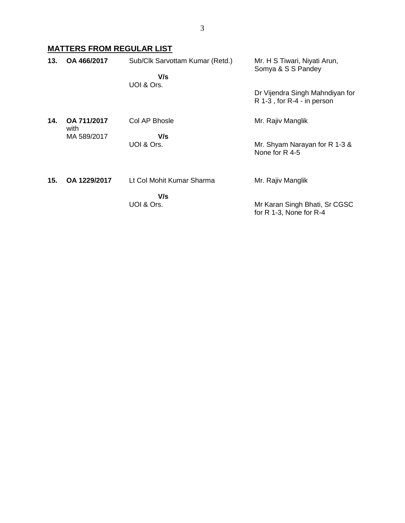# **MATTERS FROM REGULAR LIST**

| 13. | OA 466/2017         | Sub/Clk Sarvottam Kumar (Retd.)<br>V/s | Mr. H S Tiwari, Niyati Arun,<br>Somya & S S Pandey            |
|-----|---------------------|----------------------------------------|---------------------------------------------------------------|
|     |                     | UOI & Ors.                             | Dr Vijendra Singh Mahndiyan for<br>R 1-3, for R-4 - in person |
| 14. | OA 711/2017<br>with | Col AP Bhosle                          | Mr. Rajiv Manglik                                             |
|     | MA 589/2017         | V/s<br>UOI & Ors.                      | Mr. Shyam Narayan for R 1-3 &<br>None for R 4-5               |
| 15. | OA 1229/2017        | Lt Col Mohit Kumar Sharma              | Mr. Rajiv Manglik                                             |
|     |                     | V/s<br>UOI & Ors.                      | Mr Karan Singh Bhati, Sr CGSC<br>for R 1-3, None for R-4      |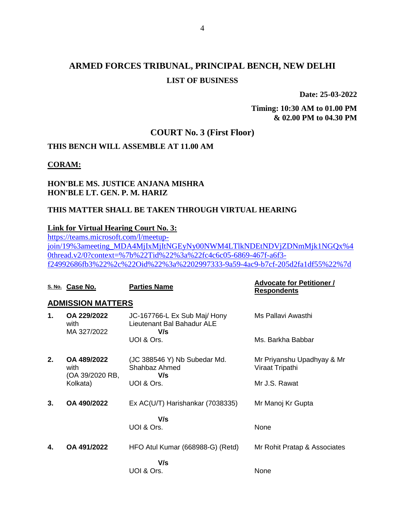# **ARMED FORCES TRIBUNAL, PRINCIPAL BENCH, NEW DELHI LIST OF BUSINESS**

**Date: 25-03-2022**

**Timing: 10:30 AM to 01.00 PM & 02.00 PM to 04.30 PM**

## **COURT No. 3 (First Floor)**

## **THIS BENCH WILL ASSEMBLE AT 11.00 AM**

### **CORAM:**

### **HON'BLE MS. JUSTICE ANJANA MISHRA HON'BLE LT. GEN. P. M. HARIZ**

#### **THIS MATTER SHALL BE TAKEN THROUGH VIRTUAL HEARING**

#### **Link for Virtual Hearing Court No. 3:**

[https://teams.microsoft.com/l/meetup](https://teams.microsoft.com/l/meetup-join/19%3ameeting_MDA4MjIxMjItNGEyNy00NWM4LTlkNDEtNDVjZDNmMjk1NGQx%40thread.v2/0?context=%7b%22Tid%22%3a%22fc4c6c05-6869-467f-a6f3-f24992686fb3%22%2c%22Oid%22%3a%2202997333-9a59-4ac9-b7cf-205d2fa1df55%22%7d)[join/19%3ameeting\\_MDA4MjIxMjItNGEyNy00NWM4LTlkNDEtNDVjZDNmMjk1NGQx%4](https://teams.microsoft.com/l/meetup-join/19%3ameeting_MDA4MjIxMjItNGEyNy00NWM4LTlkNDEtNDVjZDNmMjk1NGQx%40thread.v2/0?context=%7b%22Tid%22%3a%22fc4c6c05-6869-467f-a6f3-f24992686fb3%22%2c%22Oid%22%3a%2202997333-9a59-4ac9-b7cf-205d2fa1df55%22%7d) [0thread.v2/0?context=%7b%22Tid%22%3a%22fc4c6c05-6869-467f-a6f3](https://teams.microsoft.com/l/meetup-join/19%3ameeting_MDA4MjIxMjItNGEyNy00NWM4LTlkNDEtNDVjZDNmMjk1NGQx%40thread.v2/0?context=%7b%22Tid%22%3a%22fc4c6c05-6869-467f-a6f3-f24992686fb3%22%2c%22Oid%22%3a%2202997333-9a59-4ac9-b7cf-205d2fa1df55%22%7d) [f24992686fb3%22%2c%22Oid%22%3a%2202997333-9a59-4ac9-b7cf-205d2fa1df55%22%7d](https://teams.microsoft.com/l/meetup-join/19%3ameeting_MDA4MjIxMjItNGEyNy00NWM4LTlkNDEtNDVjZDNmMjk1NGQx%40thread.v2/0?context=%7b%22Tid%22%3a%22fc4c6c05-6869-467f-a6f3-f24992686fb3%22%2c%22Oid%22%3a%2202997333-9a59-4ac9-b7cf-205d2fa1df55%22%7d)

|    | S. No. Case No.                        | <b>Parties Name</b>                                               | <b>Advocate for Petitioner /</b><br><b>Respondents</b> |
|----|----------------------------------------|-------------------------------------------------------------------|--------------------------------------------------------|
|    | <b>ADMISSION MATTERS</b>               |                                                                   |                                                        |
| 1. | OA 229/2022<br>with<br>MA 327/2022     | JC-167766-L Ex Sub Maj/ Hony<br>Lieutenant Bal Bahadur ALE<br>V/s | Ms Pallavi Awasthi                                     |
|    |                                        | UOI & Ors.                                                        | Ms. Barkha Babbar                                      |
| 2. | OA 489/2022<br>with<br>(OA 39/2020 RB, | (JC 388546 Y) Nb Subedar Md.<br>Shahbaz Ahmed<br>V/s              | Mr Priyanshu Upadhyay & Mr<br>Viraat Tripathi          |
|    | Kolkata)                               | UOI & Ors.                                                        | Mr J.S. Rawat                                          |
| 3. | OA 490/2022                            | Ex AC(U/T) Harishankar (7038335)                                  | Mr Manoj Kr Gupta                                      |
|    |                                        | V/s                                                               |                                                        |
|    |                                        | UOI & Ors.                                                        | None                                                   |
| 4. | OA 491/2022                            | HFO Atul Kumar (668988-G) (Retd)                                  | Mr Rohit Pratap & Associates                           |
|    |                                        | V/s<br>UOI & Ors.                                                 | None                                                   |
|    |                                        |                                                                   |                                                        |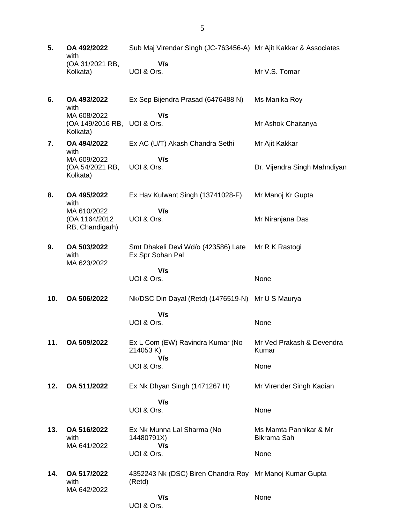- **5. OA 492/2022** with (OA 31/2021 RB, Kolkata) Sub Maj Virendar Singh (JC-763456-A) Mr Ajit Kakkar & Associates  **V/s** UOI & Ors. Mr V.S. Tomar
- **6. OA 493/2022** with MA 608/2022 (OA 149/2016 RB, UOI & Ors. Kolkata) Ex Sep Bijendra Prasad (6476488 N)  **V/s** Ms Manika Roy Mr Ashok Chaitanya
- **7. OA 494/2022** with MA 609/2022 (OA 54/2021 RB, Kolkata) Ex AC (U/T) Akash Chandra Sethi  **V/s** UOI & Ors. Mr Ajit Kakkar Dr. Vijendra Singh Mahndiyan
- **8. OA 495/2022** with MA 610/2022 (OA 1164/2012 RB, Chandigarh) Ex Hav Kulwant Singh (13741028-F)  **V/s** UOI & Ors. Mr Manoj Kr Gupta Mr Niranjana Das
- **9. OA 503/2022** with MA 623/2022 Smt Dhakeli Devi Wd/o (423586) Late Ex Spr Sohan Pal Mr R K Rastogi
	- **V/s** UOI & Ors.

None

None

None

- **10. OA 506/2022** Nk/DSC Din Dayal (Retd) (1476519-N) Mr U S Maurya  **V/s**
	- UOI & Ors.
- **11. OA 509/2022** Ex L Com (EW) Ravindra Kumar (No 214053 K)  **V/s** UOI & Ors. Mr Ved Prakash & Devendra Kumar None
- **12. OA 511/2022** Ex Nk Dhyan Singh (1471267 H)  **V/s** Mr Virender Singh Kadian
	- UOI & Ors.
- **13. OA 516/2022** with MA 641/2022 Ex Nk Munna Lal Sharma (No 14480791X)  **V/s** UOI & Ors. Ms Mamta Pannikar & Mr Bikrama Sah None
- **14. OA 517/2022** with MA 642/2022 4352243 Nk (DSC) Biren Chandra Roy Mr Manoj Kumar Gupta (Retd)  **V/s** None

UOI & Ors.

5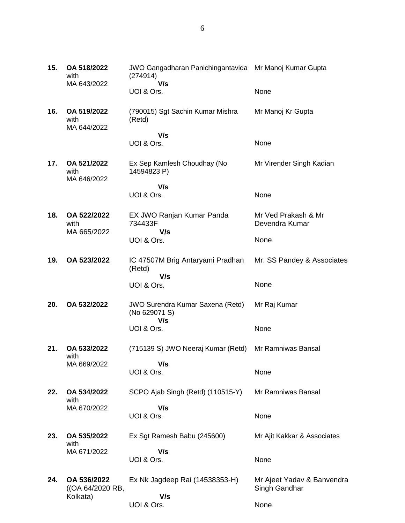| 15. | OA 518/2022<br>with<br>MA 643/2022          | JWO Gangadharan Panichingantavida Mr Manoj Kumar Gupta<br>(274914)<br>V/s |                                             |
|-----|---------------------------------------------|---------------------------------------------------------------------------|---------------------------------------------|
|     |                                             | UOI & Ors.                                                                | None                                        |
| 16. | OA 519/2022<br>with<br>MA 644/2022          | (790015) Sgt Sachin Kumar Mishra<br>(Retd)                                | Mr Manoj Kr Gupta                           |
|     |                                             | V/s<br>UOI & Ors.                                                         | None                                        |
| 17. | OA 521/2022<br>with<br>MA 646/2022          | Ex Sep Kamlesh Choudhay (No<br>14594823 P)                                | Mr Virender Singh Kadian                    |
|     |                                             | V/s<br>UOI & Ors.                                                         | None                                        |
| 18. | OA 522/2022<br>with<br>MA 665/2022          | EX JWO Ranjan Kumar Panda<br>734433F<br>V/s                               | Mr Ved Prakash & Mr<br>Devendra Kumar       |
|     |                                             | UOI & Ors.                                                                | None                                        |
| 19. | OA 523/2022                                 | IC 47507M Brig Antaryami Pradhan<br>(Retd)                                | Mr. SS Pandey & Associates                  |
|     |                                             | V/s<br>UOI & Ors.                                                         | None                                        |
| 20. | OA 532/2022                                 | <b>JWO Surendra Kumar Saxena (Retd)</b><br>(No 629071 S)<br>V/s           | Mr Raj Kumar                                |
|     |                                             | UOI & Ors.                                                                | None                                        |
| 21. | OA 533/2022<br>with                         | (715139 S) JWO Neeraj Kumar (Retd)                                        | Mr Ramniwas Bansal                          |
|     | MA 669/2022                                 | V/s<br>UOI & Ors.                                                         | None                                        |
| 22. | OA 534/2022<br>with                         | SCPO Ajab Singh (Retd) (110515-Y)                                         | Mr Ramniwas Bansal                          |
|     | MA 670/2022                                 | V/s<br>UOI & Ors.                                                         | None                                        |
| 23. | OA 535/2022<br>with                         | Ex Sgt Ramesh Babu (245600)                                               | Mr Ajit Kakkar & Associates                 |
|     | MA 671/2022                                 | V/s<br>UOI & Ors.                                                         | None                                        |
| 24. | OA 536/2022<br>((OA 64/2020 RB,<br>Kolkata) | Ex Nk Jagdeep Rai (14538353-H)<br>V/s                                     | Mr Ajeet Yadav & Banvendra<br>Singh Gandhar |
|     |                                             | UOI & Ors.                                                                | None                                        |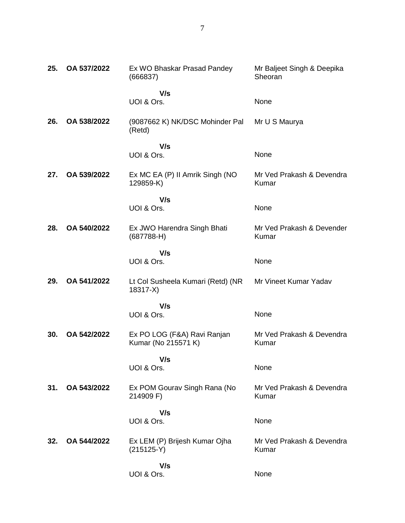| 25. | OA 537/2022 | Ex WO Bhaskar Prasad Pandey<br>(666837)            | Mr Baljeet Singh & Deepika<br>Sheoran |
|-----|-------------|----------------------------------------------------|---------------------------------------|
|     |             | V/s                                                |                                       |
|     |             | UOI & Ors.                                         | None                                  |
| 26. | OA 538/2022 | (9087662 K) NK/DSC Mohinder Pal<br>(Retd)          | Mr U S Maurya                         |
|     |             | V/s                                                |                                       |
|     |             | UOI & Ors.                                         | None                                  |
| 27. | OA 539/2022 | Ex MC EA (P) II Amrik Singh (NO<br>129859-K)       | Mr Ved Prakash & Devendra<br>Kumar    |
|     |             | V/s                                                |                                       |
|     |             | UOI & Ors.                                         | None                                  |
| 28. | OA 540/2022 | Ex JWO Harendra Singh Bhati<br>$(687788-H)$        | Mr Ved Prakash & Devender<br>Kumar    |
|     |             | V/s                                                |                                       |
|     |             | UOI & Ors.                                         | None                                  |
| 29. | OA 541/2022 | Lt Col Susheela Kumari (Retd) (NR<br>$18317-X$     | Mr Vineet Kumar Yadav                 |
|     |             | V/s                                                |                                       |
|     |             | UOI & Ors.                                         | None                                  |
| 30. | OA 542/2022 | Ex PO LOG (F&A) Ravi Ranjan<br>Kumar (No 215571 K) | Mr Ved Prakash & Devendra<br>Kumar    |
|     |             | V/s                                                |                                       |
|     |             | UOI & Ors.                                         | None                                  |
| 31. | OA 543/2022 | Ex POM Gourav Singh Rana (No<br>214909 F)          | Mr Ved Prakash & Devendra<br>Kumar    |
|     |             | V/s                                                |                                       |
|     |             | UOI & Ors.                                         | None                                  |
| 32. | OA 544/2022 | Ex LEM (P) Brijesh Kumar Ojha<br>$(215125-Y)$      | Mr Ved Prakash & Devendra<br>Kumar    |
|     |             | V/s                                                |                                       |
|     |             | UOI & Ors.                                         | None                                  |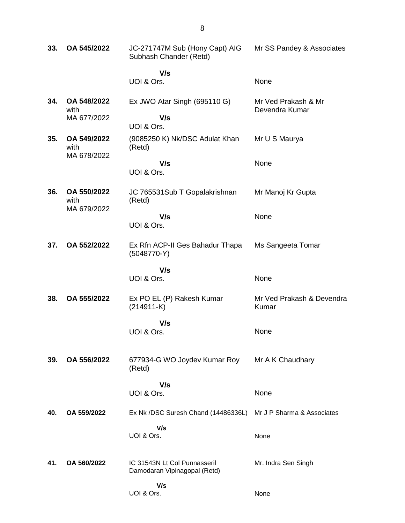| 33. | OA 545/2022                        | JC-271747M Sub (Hony Capt) AIG<br>Subhash Chander (Retd)     | Mr SS Pandey & Associates             |
|-----|------------------------------------|--------------------------------------------------------------|---------------------------------------|
|     |                                    | V/s                                                          |                                       |
|     |                                    | UOI & Ors.                                                   | None                                  |
| 34. | OA 548/2022<br>with<br>MA 677/2022 | Ex JWO Atar Singh (695110 G)<br>V/s                          | Mr Ved Prakash & Mr<br>Devendra Kumar |
|     |                                    | UOI & Ors.                                                   |                                       |
| 35. | OA 549/2022<br>with<br>MA 678/2022 | (9085250 K) Nk/DSC Adulat Khan<br>(Retd)                     | Mr U S Maurya                         |
|     |                                    | V/s                                                          | None                                  |
|     |                                    | UOI & Ors.                                                   |                                       |
| 36. | OA 550/2022<br>with<br>MA 679/2022 | JC 765531Sub T Gopalakrishnan<br>(Retd)                      | Mr Manoj Kr Gupta                     |
|     |                                    | V/s<br>UOI & Ors.                                            | None                                  |
| 37. | OA 552/2022                        | Ex Rfn ACP-II Ges Bahadur Thapa<br>$(5048770-Y)$             | Ms Sangeeta Tomar                     |
|     |                                    | V/s                                                          |                                       |
|     |                                    | UOI & Ors.                                                   | None                                  |
| 38. | OA 555/2022                        | Ex PO EL (P) Rakesh Kumar<br>$(214911-K)$                    | Mr Ved Prakash & Devendra<br>Kumar    |
|     |                                    | V/s                                                          |                                       |
|     |                                    | UOI & Ors.                                                   | None                                  |
| 39. | OA 556/2022                        | 677934-G WO Joydev Kumar Roy<br>(Retd)                       | Mr A K Chaudhary                      |
|     |                                    | V/s                                                          |                                       |
|     |                                    | UOI & Ors.                                                   | None                                  |
| 40. | OA 559/2022                        | Ex Nk /DSC Suresh Chand (14486336L)                          | Mr J P Sharma & Associates            |
|     |                                    | V/s<br>UOI & Ors.                                            | None                                  |
| 41. | OA 560/2022                        | IC 31543N Lt Col Punnasseril<br>Damodaran Vipinagopal (Retd) | Mr. Indra Sen Singh                   |
|     |                                    | V/s<br>UOI & Ors.                                            | None                                  |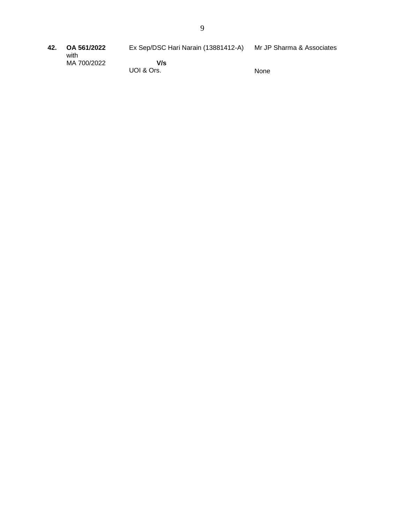- Ex Sep/DSC Hari Narain (13881412-A) Mr JP Sharma & Associates
- **42. OA 561/2022** with MA 700/2022

 **V/s** UOI & Ors.

None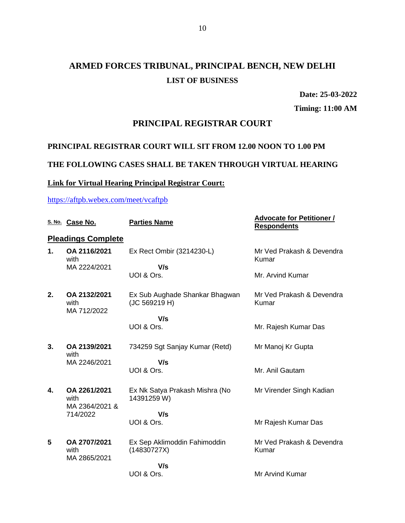# **ARMED FORCES TRIBUNAL, PRINCIPAL BENCH, NEW DELHI LIST OF BUSINESS**

**Date: 25-03-2022**

**Timing: 11:00 AM**

## **PRINCIPAL REGISTRAR COURT**

## **PRINCIPAL REGISTRAR COURT WILL SIT FROM 12.00 NOON TO 1.00 PM**

## **THE FOLLOWING CASES SHALL BE TAKEN THROUGH VIRTUAL HEARING**

## **Link for Virtual Hearing Principal Registrar Court:**

### <https://aftpb.webex.com/meet/vcaftpb>

|    | S. No. Case No.                      | <b>Parties Name</b>                             | <b>Advocate for Petitioner /</b><br><b>Respondents</b> |
|----|--------------------------------------|-------------------------------------------------|--------------------------------------------------------|
|    | <b>Pleadings Complete</b>            |                                                 |                                                        |
| 1. | OA 2116/2021<br>with                 | Ex Rect Ombir (3214230-L)                       | Mr Ved Prakash & Devendra<br>Kumar                     |
|    | MA 2224/2021                         | V/s<br>UOI & Ors.                               | Mr. Arvind Kumar                                       |
| 2. | OA 2132/2021<br>with<br>MA 712/2022  | Ex Sub Aughade Shankar Bhagwan<br>(JC 569219 H) | Mr Ved Prakash & Devendra<br>Kumar                     |
|    |                                      | V/s<br>UOI & Ors.                               | Mr. Rajesh Kumar Das                                   |
| 3. | OA 2139/2021<br>with                 | 734259 Sgt Sanjay Kumar (Retd)                  | Mr Manoj Kr Gupta                                      |
|    | MA 2246/2021                         | V/s<br>UOI & Ors.                               | Mr. Anil Gautam                                        |
| 4. | OA 2261/2021<br>with                 | Ex Nk Satya Prakash Mishra (No<br>14391259 W)   | Mr Virender Singh Kadian                               |
|    | MA 2364/2021 &<br>714/2022           | V/s<br>UOI & Ors.                               | Mr Rajesh Kumar Das                                    |
| 5  | OA 2707/2021<br>with<br>MA 2865/2021 | Ex Sep Aklimoddin Fahimoddin<br>(14830727X)     | Mr Ved Prakash & Devendra<br>Kumar                     |
|    |                                      | V/s<br>UOI & Ors.                               | Mr Arvind Kumar                                        |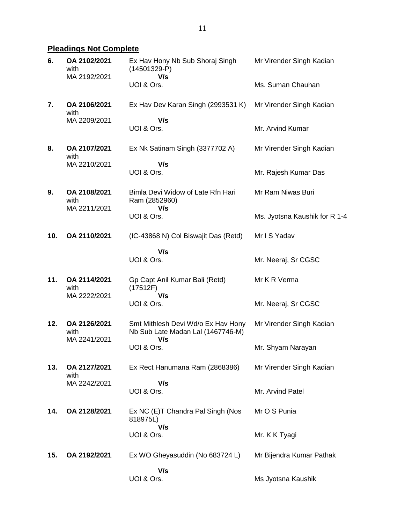# **Pleadings Not Complete**

| 6.  | OA 2102/2021<br>with<br>MA 2192/2021 | Ex Hav Hony Nb Sub Shoraj Singh<br>$(14501329-P)$<br>V/s                       | Mr Virender Singh Kadian      |
|-----|--------------------------------------|--------------------------------------------------------------------------------|-------------------------------|
|     |                                      | UOI & Ors.                                                                     | Ms. Suman Chauhan             |
| 7.  | OA 2106/2021<br>with                 | Ex Hav Dev Karan Singh (2993531 K)                                             | Mr Virender Singh Kadian      |
|     | MA 2209/2021                         | V/s<br>UOI & Ors.                                                              | Mr. Arvind Kumar              |
| 8.  | OA 2107/2021<br>with                 | Ex Nk Satinam Singh (3377702 A)                                                | Mr Virender Singh Kadian      |
|     | MA 2210/2021                         | V/s                                                                            |                               |
|     |                                      | UOI & Ors.                                                                     | Mr. Rajesh Kumar Das          |
| 9.  | OA 2108/2021<br>with<br>MA 2211/2021 | Bimla Devi Widow of Late Rfn Hari<br>Ram (2852960)<br>V/s                      | Mr Ram Niwas Buri             |
|     |                                      | UOI & Ors.                                                                     | Ms. Jyotsna Kaushik for R 1-4 |
| 10. | OA 2110/2021                         | (IC-43868 N) Col Biswajit Das (Retd)                                           | Mr I S Yadav                  |
|     |                                      | V/s                                                                            |                               |
|     |                                      | UOI & Ors.                                                                     | Mr. Neeraj, Sr CGSC           |
| 11. | OA 2114/2021<br>with                 | Gp Capt Anil Kumar Bali (Retd)<br>(17512F)<br>V/s                              | Mr K R Verma                  |
|     | MA 2222/2021                         | UOI & Ors.                                                                     | Mr. Neeraj, Sr CGSC           |
| 12. | OA 2126/2021<br>with<br>MA 2241/2021 | Smt Mithlesh Devi Wd/o Ex Hav Hony<br>Nb Sub Late Madan Lal (1467746-M)<br>V/s | Mr Virender Singh Kadian      |
|     |                                      | UOI & Ors.                                                                     | Mr. Shyam Narayan             |
| 13. | OA 2127/2021<br>with                 | Ex Rect Hanumana Ram (2868386)                                                 | Mr Virender Singh Kadian      |
|     | MA 2242/2021                         | V/s<br>UOI & Ors.                                                              | Mr. Arvind Patel              |
| 14. | OA 2128/2021                         | Ex NC (E)T Chandra Pal Singh (Nos<br>818975L)<br>V/s                           | Mr O S Punia                  |
|     |                                      | UOI & Ors.                                                                     | Mr. K K Tyagi                 |
| 15. | OA 2192/2021                         | Ex WO Gheyasuddin (No 683724 L)                                                | Mr Bijendra Kumar Pathak      |
|     |                                      | V/s<br>UOI & Ors.                                                              | Ms Jyotsna Kaushik            |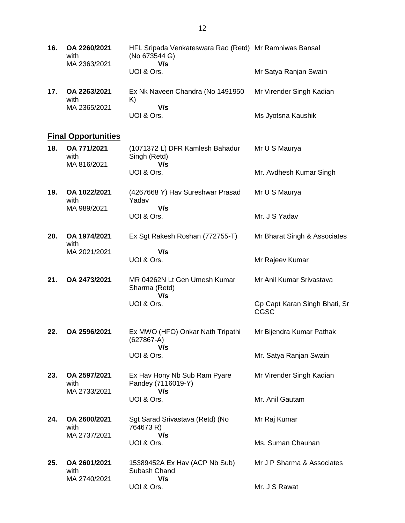| 16. | OA 2260/2021<br>with<br>MA 2363/2021 | HFL Sripada Venkateswara Rao (Retd) Mr Ramniwas Bansal<br>(No 673544 G)<br>V/s |                          |
|-----|--------------------------------------|--------------------------------------------------------------------------------|--------------------------|
|     |                                      | UOI & Ors.                                                                     | Mr Satya Ranjan Swain    |
| 17. | OA 2263/2021<br>with                 | Ex Nk Naveen Chandra (No 1491950<br>K)                                         | Mr Virender Singh Kadian |
|     | MA 2365/2021                         | V/s<br>UOI & Ors.                                                              | Ms Jyotsna Kaushik       |

# **Final Opportunities**

| 18. | OA 771/2021<br>with<br>MA 816/2021   | (1071372 L) DFR Kamlesh Bahadur<br>Singh (Retd)<br>V/s    | Mr U S Maurya                         |
|-----|--------------------------------------|-----------------------------------------------------------|---------------------------------------|
|     |                                      | UOI & Ors.                                                | Mr. Avdhesh Kumar Singh               |
| 19. | OA 1022/2021<br>with<br>MA 989/2021  | (4267668 Y) Hav Sureshwar Prasad<br>Yadav<br>V/s          | Mr U S Maurya                         |
|     |                                      | UOI & Ors.                                                | Mr. J S Yadav                         |
| 20. | OA 1974/2021<br>with                 | Ex Sgt Rakesh Roshan (772755-T)                           | Mr Bharat Singh & Associates          |
|     | MA 2021/2021                         | V/s<br>UOI & Ors.                                         | Mr Rajeev Kumar                       |
| 21. | OA 2473/2021                         | MR 04262N Lt Gen Umesh Kumar<br>Sharma (Retd)             | Mr Anil Kumar Srivastava              |
|     |                                      | V/s<br>UOI & Ors.                                         | Gp Capt Karan Singh Bhati, Sr<br>CGSC |
| 22. | OA 2596/2021                         | Ex MWO (HFO) Onkar Nath Tripathi<br>$(627867-A)$          | Mr Bijendra Kumar Pathak              |
|     |                                      | V/s<br>UOI & Ors.                                         | Mr. Satya Ranjan Swain                |
| 23. | OA 2597/2021<br>with<br>MA 2733/2021 | Ex Hav Hony Nb Sub Ram Pyare<br>Pandey (7116019-Y)<br>V/s | Mr Virender Singh Kadian              |
|     |                                      | UOI & Ors.                                                | Mr. Anil Gautam                       |
| 24. | OA 2600/2021<br>with<br>MA 2737/2021 | Sgt Sarad Srivastava (Retd) (No<br>764673 R)<br>V/s       | Mr Raj Kumar                          |
|     |                                      | UOI & Ors.                                                | Ms. Suman Chauhan                     |
| 25. | OA 2601/2021<br>with<br>MA 2740/2021 | 15389452A Ex Hav (ACP Nb Sub)<br>Subash Chand<br>V/s      | Mr J P Sharma & Associates            |

Mr. J S Rawat

UOI & Ors.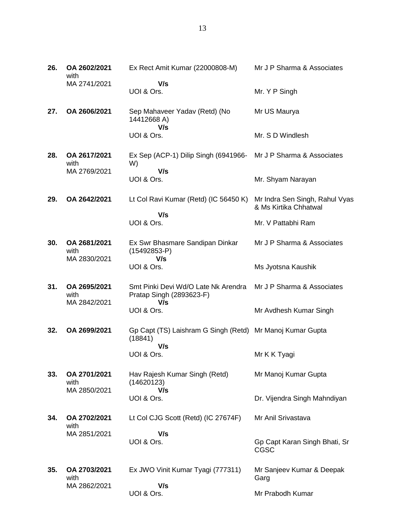| 26. | OA 2602/2021<br>with                 | Ex Rect Amit Kumar (22000808-M)                                             | Mr J P Sharma & Associates                              |
|-----|--------------------------------------|-----------------------------------------------------------------------------|---------------------------------------------------------|
|     | MA 2741/2021                         | V/s<br>UOI & Ors.                                                           | Mr. Y P Singh                                           |
| 27. | OA 2606/2021                         | Sep Mahaveer Yadav (Retd) (No<br>14412668 A)<br>V/s                         | Mr US Maurya                                            |
|     |                                      | UOI & Ors.                                                                  | Mr. S D Windlesh                                        |
| 28. | OA 2617/2021<br>with<br>MA 2769/2021 | Ex Sep (ACP-1) Dilip Singh (6941966-<br>W)<br>V/s                           | Mr J P Sharma & Associates                              |
|     |                                      | UOI & Ors.                                                                  | Mr. Shyam Narayan                                       |
| 29. | OA 2642/2021                         | Lt Col Ravi Kumar (Retd) (IC 56450 K)<br>V/s                                | Mr Indra Sen Singh, Rahul Vyas<br>& Ms Kirtika Chhatwal |
|     |                                      | UOI & Ors.                                                                  | Mr. V Pattabhi Ram                                      |
| 30. | OA 2681/2021<br>with                 | Ex Swr Bhasmare Sandipan Dinkar<br>$(15492853-P)$                           | Mr J P Sharma & Associates                              |
|     | MA 2830/2021                         | V/s<br>UOI & Ors.                                                           | Ms Jyotsna Kaushik                                      |
| 31. | OA 2695/2021<br>with                 | Smt Pinki Devi Wd/O Late Nk Arendra<br>Pratap Singh (2893623-F)             | Mr J P Sharma & Associates                              |
|     | MA 2842/2021                         | V/s<br>UOI & Ors.                                                           | Mr Avdhesh Kumar Singh                                  |
| 32. | OA 2699/2021                         | Gp Capt (TS) Laishram G Singh (Retd) Mr Manoj Kumar Gupta<br>(18841)<br>V/s |                                                         |
|     |                                      | UOI & Ors.                                                                  | Mr K K Tyagi                                            |
| 33. | OA 2701/2021<br>with                 | Hav Rajesh Kumar Singh (Retd)<br>(14620123)                                 | Mr Manoj Kumar Gupta                                    |
|     | MA 2850/2021                         | V/s<br>UOI & Ors.                                                           | Dr. Vijendra Singh Mahndiyan                            |
| 34. | OA 2702/2021<br>with                 | Lt Col CJG Scott (Retd) (IC 27674F)                                         | Mr Anil Srivastava                                      |
|     | MA 2851/2021                         | V/s<br>UOI & Ors.                                                           | Gp Capt Karan Singh Bhati, Sr<br><b>CGSC</b>            |
| 35. | OA 2703/2021                         | Ex JWO Vinit Kumar Tyagi (777311)                                           | Mr Sanjeev Kumar & Deepak                               |
|     | with                                 |                                                                             | Garg                                                    |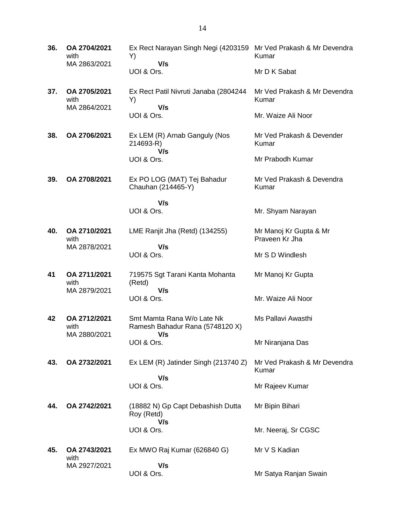**36. OA 2704/2021** with MA 2863/2021 Ex Rect Narayan Singh Negi (4203159 Mr Ved Prakash & Mr Devendra Y)  **V/s** UOI & Ors. Kumar Mr D K Sabat **37. OA 2705/2021** with MA 2864/2021 Ex Rect Patil Nivruti Janaba (2804244 Y)  **V/s** UOI & Ors. Mr Ved Prakash & Mr Devendra Kumar Mr. Waize Ali Noor **38. OA 2706/2021** Ex LEM (R) Arnab Ganguly (Nos 214693-R)  **V/s** UOI & Ors. Mr Ved Prakash & Devender Kumar Mr Prabodh Kumar **39. OA 2708/2021** Ex PO LOG (MAT) Tej Bahadur Chauhan (214465-Y)  **V/s** UOI & Ors. Mr Ved Prakash & Devendra Kumar Mr. Shyam Narayan **40. OA 2710/2021** with MA 2878/2021 LME Ranjit Jha (Retd) (134255)  **V/s** UOI & Ors. Mr Manoj Kr Gupta & Mr Praveen Kr Jha Mr S D Windlesh **41 OA 2711/2021** with MA 2879/2021 719575 Sgt Tarani Kanta Mohanta (Retd)  **V/s** UOI & Ors. Mr Manoj Kr Gupta Mr. Waize Ali Noor **42 OA 2712/2021** with MA 2880/2021 Smt Mamta Rana W/o Late Nk Ramesh Bahadur Rana (5748120 X)  **V/s** UOI & Ors. Ms Pallavi Awasthi Mr Niranjana Das **43. OA 2732/2021** Ex LEM (R) Jatinder Singh (213740 Z)  **V/s** UOI & Ors. Mr Ved Prakash & Mr Devendra Kumar Mr Rajeev Kumar **44. OA 2742/2021** (18882 N) Gp Capt Debashish Dutta Roy (Retd)  **V/s** UOI & Ors. Mr Bipin Bihari Mr. Neeraj, Sr CGSC **45. OA 2743/2021** with MA 2927/2021 Ex MWO Raj Kumar (626840 G)  **V/s** UOI & Ors. Mr V S Kadian Mr Satya Ranjan Swain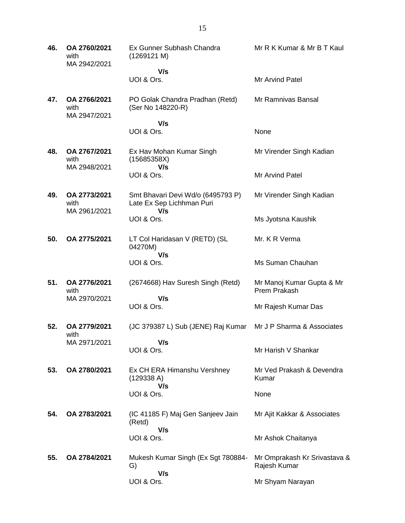| 46. | OA 2760/2021<br>with<br>MA 2942/2021 | Ex Gunner Subhash Chandra<br>(1269121 M)                              | Mr R K Kumar & Mr B T Kaul                       |
|-----|--------------------------------------|-----------------------------------------------------------------------|--------------------------------------------------|
|     |                                      | V/s<br>UOI & Ors.                                                     | <b>Mr Arvind Patel</b>                           |
| 47. | OA 2766/2021<br>with<br>MA 2947/2021 | PO Golak Chandra Pradhan (Retd)<br>(Ser No 148220-R)                  | Mr Ramnivas Bansal                               |
|     |                                      | V/s<br>UOI & Ors.                                                     | None                                             |
| 48. | OA 2767/2021<br>with<br>MA 2948/2021 | Ex Hav Mohan Kumar Singh<br>(15685358X)<br>V/s                        | Mr Virender Singh Kadian                         |
|     |                                      | UOI & Ors.                                                            | Mr Arvind Patel                                  |
| 49. | OA 2773/2021<br>with<br>MA 2961/2021 | Smt Bhavari Devi Wd/o (6495793 P)<br>Late Ex Sep Lichhman Puri<br>V/s | Mr Virender Singh Kadian                         |
|     |                                      | UOI & Ors.                                                            | Ms Jyotsna Kaushik                               |
| 50. | OA 2775/2021                         | LT Col Haridasan V (RETD) (SL<br>04270M)                              | Mr. K R Verma                                    |
|     |                                      | V/s<br>UOI & Ors.                                                     | Ms Suman Chauhan                                 |
| 51. | OA 2776/2021<br>with<br>MA 2970/2021 | (2674668) Hav Suresh Singh (Retd)                                     | Mr Manoj Kumar Gupta & Mr<br><b>Prem Prakash</b> |
|     |                                      | V/s<br>UOI & Ors.                                                     | Mr Rajesh Kumar Das                              |
| 52. | OA 2779/2021<br>with                 | (JC 379387 L) Sub (JENE) Raj Kumar                                    | Mr J P Sharma & Associates                       |
|     | MA 2971/2021                         | V/s<br>UOI & Ors.                                                     | Mr Harish V Shankar                              |
| 53. | OA 2780/2021                         | Ex CH ERA Himanshu Vershney<br>(129338 A)                             | Mr Ved Prakash & Devendra<br>Kumar               |
|     |                                      | V/s<br>UOI & Ors.                                                     | None                                             |
| 54. | OA 2783/2021                         | (IC 41185 F) Maj Gen Sanjeev Jain<br>(Retd)                           | Mr Ajit Kakkar & Associates                      |
|     |                                      | V/s<br>UOI & Ors.                                                     | Mr Ashok Chaitanya                               |
| 55. | OA 2784/2021                         | Mukesh Kumar Singh (Ex Sgt 780884-<br>G)                              | Mr Omprakash Kr Srivastava &<br>Rajesh Kumar     |
|     |                                      | V/s<br>UOI & Ors.                                                     | Mr Shyam Narayan                                 |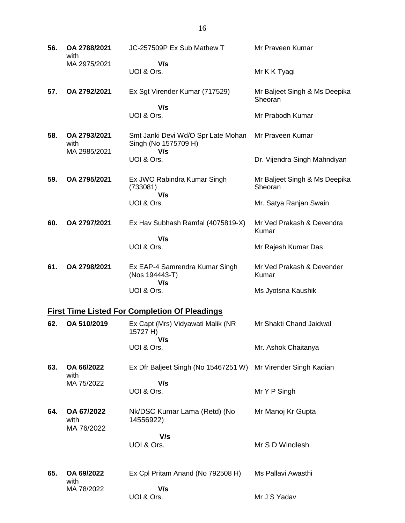| 56. | OA 2788/2021<br>with                 | JC-257509P Ex Sub Mathew T                                        | Mr Praveen Kumar                         |
|-----|--------------------------------------|-------------------------------------------------------------------|------------------------------------------|
|     | MA 2975/2021                         | V/s<br>UOI & Ors.                                                 | Mr K K Tyagi                             |
| 57. | OA 2792/2021                         | Ex Sgt Virender Kumar (717529)<br>V/s                             | Mr Baljeet Singh & Ms Deepika<br>Sheoran |
|     |                                      | UOI & Ors.                                                        | Mr Prabodh Kumar                         |
| 58. | OA 2793/2021<br>with<br>MA 2985/2021 | Smt Janki Devi Wd/O Spr Late Mohan<br>Singh (No 1575709 H)<br>V/s | Mr Praveen Kumar                         |
|     |                                      | UOI & Ors.                                                        | Dr. Vijendra Singh Mahndiyan             |
| 59. | OA 2795/2021                         | Ex JWO Rabindra Kumar Singh<br>(733081)<br>V/s                    | Mr Baljeet Singh & Ms Deepika<br>Sheoran |
|     |                                      | UOI & Ors.                                                        | Mr. Satya Ranjan Swain                   |
| 60. | OA 2797/2021                         | Ex Hav Subhash Ramfal (4075819-X)<br>V/s                          | Mr Ved Prakash & Devendra<br>Kumar       |
|     |                                      | UOI & Ors.                                                        | Mr Rajesh Kumar Das                      |
| 61. | OA 2798/2021                         | Ex EAP-4 Samrendra Kumar Singh<br>(Nos 194443-T)<br>V/s           | Mr Ved Prakash & Devender<br>Kumar       |
|     |                                      | UOI & Ors.                                                        | Ms Jyotsna Kaushik                       |
|     |                                      | <b>First Time Listed For Completion Of Pleadings</b>              |                                          |
| 62. | OA 510/2019                          | Ex Capt (Mrs) Vidyawati Malik (NR<br>15727 H)<br>V/s              | Mr Shakti Chand Jaidwal                  |
|     |                                      | UOI & Ors.                                                        | Mr. Ashok Chaitanya                      |
| 63. | OA 66/2022<br>with<br>MA 75/2022     | Ex Dfr Baljeet Singh (No 15467251 W)                              | Mr Virender Singh Kadian                 |
|     |                                      | V/s<br>UOI & Ors.                                                 | Mr Y P Singh                             |
| 64. | OA 67/2022<br>with<br>MA 76/2022     | Nk/DSC Kumar Lama (Retd) (No<br>14556922)                         | Mr Manoj Kr Gupta                        |
|     |                                      | V/s<br>UOI & Ors.                                                 | Mr S D Windlesh                          |
| 65. | OA 69/2022                           | Ex Cpl Pritam Anand (No 792508 H)                                 | Ms Pallavi Awasthi                       |
|     | with<br>MA 78/2022                   | V/s<br>UOI & Ors.                                                 | Mr J S Yadav                             |